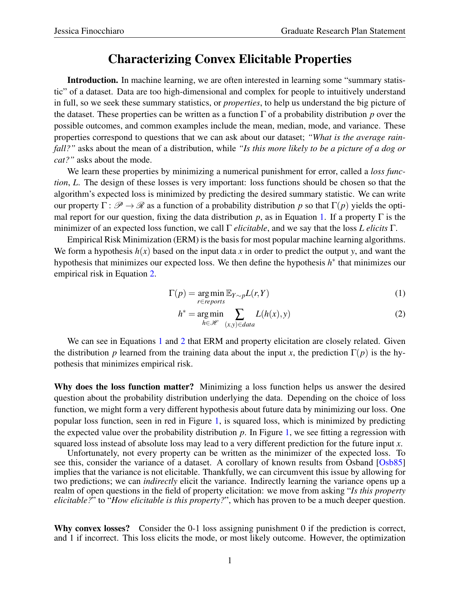## Characterizing Convex Elicitable Properties

Introduction. In machine learning, we are often interested in learning some "summary statistic" of a dataset. Data are too high-dimensional and complex for people to intuitively understand in full, so we seek these summary statistics, or *properties*, to help us understand the big picture of the dataset. These properties can be written as a function Γ of a probability distribution *p* over the possible outcomes, and common examples include the mean, median, mode, and variance. These properties correspond to questions that we can ask about our dataset; *"What is the average rainfall?"* asks about the mean of a distribution, while *"Is this more likely to be a picture of a dog or cat?"* asks about the mode.

We learn these properties by minimizing a numerical punishment for error, called a *loss function*, *L*. The design of these losses is very important: loss functions should be chosen so that the algorithm's expected loss is minimized by predicting the desired summary statistic. We can write our property  $\Gamma: \mathscr{P} \to \mathscr{R}$  as a function of a probability distribution p so that  $\Gamma(p)$  yields the optimal report for our question, fixing the data distribution *p*, as in Equation [1.](#page-0-0) If a property  $\Gamma$  is the minimizer of an expected loss function, we call Γ *elicitable*, and we say that the loss *L elicits* Γ.

Empirical Risk Minimization (ERM) is the basis for most popular machine learning algorithms. We form a hypothesis  $h(x)$  based on the input data x in order to predict the output y, and want the hypothesis that minimizes our expected loss. We then define the hypothesis *h*<sup>∗</sup> that minimizes our empirical risk in Equation [2.](#page-0-1)

$$
\Gamma(p) = \underset{r \in reports}{\arg\min} \mathbb{E}_{Y \sim p} L(r, Y) \tag{1}
$$

<span id="page-0-1"></span><span id="page-0-0"></span>
$$
h^* = \underset{h \in \mathcal{H}}{\text{arg min}} \sum_{(x,y) \in data} L(h(x), y)
$$
 (2)

We can see in Equations [1](#page-0-0) and [2](#page-0-1) that ERM and property elicitation are closely related. Given the distribution *p* learned from the training data about the input *x*, the prediction  $\Gamma(p)$  is the hypothesis that minimizes empirical risk.

Why does the loss function matter? Minimizing a loss function helps us answer the desired question about the probability distribution underlying the data. Depending on the choice of loss function, we might form a very different hypothesis about future data by minimizing our loss. One popular loss function, seen in red in Figure [1,](#page-1-0) is squared loss, which is minimized by predicting the expected value over the probability distribution  $p$ . In Figure [1,](#page-1-0) we see fitting a regression with squared loss instead of absolute loss may lead to a very different prediction for the future input *x*.

Unfortunately, not every property can be written as the minimizer of the expected loss. To see this, consider the variance of a dataset. A corollary of known results from Osband [\[Osb85\]](#page-1-1) implies that the variance is not elicitable. Thankfully, we can circumvent this issue by allowing for two predictions; we can *indirectly* elicit the variance. Indirectly learning the variance opens up a realm of open questions in the field of property elicitation: we move from asking "*Is this property elicitable?*" to "*How elicitable is this property?*", which has proven to be a much deeper question.

Why convex losses? Consider the 0-1 loss assigning punishment 0 if the prediction is correct, and 1 if incorrect. This loss elicits the mode, or most likely outcome. However, the optimization